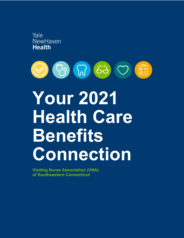



# **Your 2021 Health Care Benefits Connection**

**Visiting Nurse Association (VNA) of Southeastern Connecticut**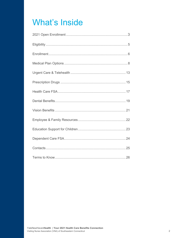## **What's Inside**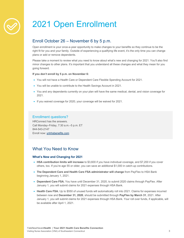## 2021 Open Enrollment

## Enroll October 26 – November 6 by 5 p.m.

Open enrollment is your once-a-year opportunity to make changes to your benefits so they continue to be the right fit for you and your family. Outside of experiencing a qualifying life event, it's the only time you can change plans or add or remove dependents.

Please take a moment to review what you need to know about what's new and changing for 2021. You'll also find minor changes to other plans. It's important that you understand all these changes and what they mean for you going forward.

#### **If you don't enroll by 5 p.m. on November 6:**

- You will not have a Health Care or Dependent Care Flexible Spending Account for 2021.
- You will be unable to contribute to the Health Savings Account in 2021.
- You and any dependents currently on your plan will have the same medical, dental, and vision coverage for 2021.
- If you waived coverage for 2020, your coverage will be waived for 2021.

## Enrollment questions?

HRConnect has the answers. Call Monday–Friday, 7:30 a.m.–5 p.m. ET 844-543-2147 Enroll now: ynhhsbenefits.com

## What You Need to Know

## **What's New and Changing for 2021**

- **HSA contribution limits will increase** to \$3,600 if you have individual coverage, and \$7,200 if you cover others, too. If you're age 55 or older, you can save an additional \$1,000 in catch-up contributions.
- **The Dependent Care and Health Care FSA administrator will change** from PayFlex to HSA Bank beginning January 1, 2021.
- **Dependent Care FSA.** You have until December 31, 2020, to submit 2020 claims through PayFlex. After January 1, you will submit claims for 2021 expenses through HSA Bank.
- Health Care FSA. Up to \$550 of unused funds will automatically roll into 2021. Claims for expenses incurred between now and **December 31, 2020**, should be submitted through **PayFlex by March 31**, 2021. After January 1, you will submit claims for 2021 expenses through HSA Bank. Your roll over funds, if applicable, will be available after April 1, 2021.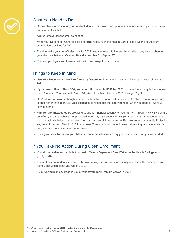

## What You Need to Do

- Review this information for your medical, dental, and vision plan options, and consider how your needs may be different for 2021.
- Add or remove dependents, as needed.
- Make your Dependent Care Flexible Spending Account and/or Health Care Flexible Spending Account contribution elections for 2021.
- Enroll to make your benefit elections for 2021. You can return to the enrollment site at any time to change your elections between October 26 and November 6 at 5 p.m. ET.
- Print a copy of your enrollment confirmation and keep it for your records.

## Things to Keep In Mind

- **Use your Dependent Care FSA funds by December 31** or you'll lose them. Balances do *not* roll over to 2021.
- **If you have a Health Care FSA, you can roll over up to \$550 for 2021**, but you'll forfeit any balance above that. Reminder: You have until March 31, 2021, to submit claims for 2020 through PayFlex.
- **Don't skimp on care.** Although you may be tempted to put off a doctor's visit, it's always better to get care sooner rather than later. Use your telehealth benefit to get the care you need, when you need it—without leaving home.
- **Plan for the unexpected** by providing additional financial security for your family. Through YNHHS voluntary benefits, you can purchase group hospital indemnity insurance and group critical illness insurance at prices that are typically below market rates. You can also enroll in Auto/Home, Pet insurance, and Identity Protection any time of the year. New for 2021 is our new Common Bond Student Loan Refinancing program available to you, your spouse and/or your dependents.
- **It's a good idea to review your life insurance beneficiaries** every year, and make changes, as needed.

## If You Take No Action During Open Enrollment

- You will be unable to contribute to a Health Care or Dependent Care FSA or to the Health Savings Account (HSA) in 2021.
- You and any dependents you currently cover (if eligible) will be automatically enrolled in the same medical, dental, and vision plans you had in 2020.
- If you waived plan coverage in 2020, your coverage will remain waived in 2021.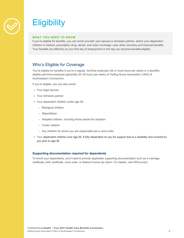

## **Eligibility**

#### **WHAT YOU NEED TO KNOW**

If you're eligible for benefits, you can enroll yourself, your spouse or domestic partner, and/or your dependent children in medical, prescription drug, dental, and vision coverage—plus other voluntary and financial benefits. Your benefits are effective on your first day of employment or the day you become benefits-eligible.

## Who's Eligible for Coverage

You're eligible for benefits if you're a regular, full-time employee (36 or more hours per week) or a benefitseligible part-time employee (generally 20–35 hours per week) of Visiting Nurse Association (VNA) of Southeastern Connecticut.

If you're eligible, you can also enroll:

- Your legal spouse
- Your domestic partner
- Your dependent children under age 26:
	- Biological children
	- Stepchildren
	- Adopted children, including those placed for adoption
	- Foster children
	- Any children for whom you are responsible per a court order
- Your dependent children over age 26, if fully dependent on you for support due to a disability and covered by you prior to age 26

#### **Supporting documentation required for dependents**

To enroll your dependents, you'll need to provide applicable supporting documentation such as a marriage certificate, birth certificate, court order, or federal income tax return. For details, visit HRConnect.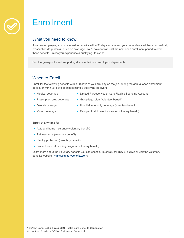

## **Enrollment**

## What you need to know

As a new employee, you must enroll in benefits within 30 days, or you and your dependents will have no medical, prescription drug, dental, or vision coverage. You'll have to wait until the next open enrollment period to elect these benefits, unless you experience a qualifying life event.

Don't forget—you'll need supporting documentation to enroll your dependents.

## When to Enroll

Enroll for the following benefits within 30 days of your first day on the job, during the annual open enrollment period, or within 31 days of experiencing a qualifying life event:

- Medical coverage
- Limited-Purpose Health Care Flexible Spending Account
- Prescription drug coverage
- Group legal plan (voluntary benefit)
- Dental coverage
- Hospital indemnity coverage (voluntary benefit)
- Vision coverage
- Group critical illness insurance (voluntary benefit)

### **Enroll at any time for:**

- Auto and home insurance (voluntary benefit)
- Pet insurance (voluntary benefit)
- Identity protection (voluntary benefit)
- Student loan refinancing program (voluntary benefit)

Learn more about the voluntary benefits you can choose. To enroll, call **866-874-2837** or visit the voluntary benefits website (ynhhsvoluntarybenefits.com)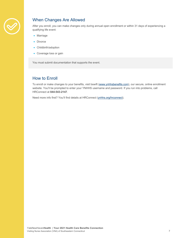

## When Changes Are Allowed

After you enroll, you can make changes only during annual open enrollment or within 31 days of experiencing a qualifying life event:

- Marriage
- Divorce
- Childbirth/adoption
- Coverage loss or gain

You must submit documentation that supports the event.

## How to Enroll

To enroll or make changes to your benefits, visit bswift (www.ynhhsbenefits.com), our secure, online enrollment website. You'll be prompted to enter your YNHHS username and password. If you run into problems, call HRConnect at **844-543-2147**.

Need more info first? You'll find details at HRConnect (ynhhs.org/hrconnect).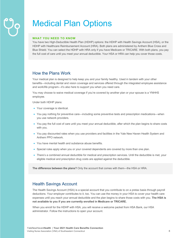## Medical Plan Options

### **WHAT YOU NEED TO KNOW**

You have two High-Deductible Health Plan (HDHP) options: the HDHP with Health Savings Account (HSA), or the HDHP with Healthcare Reimbursement Account (HRA). Both plans are administered by Anthem Blue Cross and Blue Shield. You can select the HDHP with HRA only if you have Medicare or TRICARE. With both plans, you pay the full cost of care until you meet your annual deductible. Your HSA or HRA can help you cover those costs.

## How the Plans Work

Your medical plan is designed to help keep you and your family healthy. Used in tandem with your other benefits—including dental and vision coverage and services offered through the integrated employee assistance and work/life program—it's also here to support you when you need care.

You may choose to waive medical coverage if you're covered by another plan or your spouse is a YNHHS employee.

Under both HDHP plans:

- Your coverage is identical.
- You pay nothing for preventive care—including some preventive tests and prescription medications—when you use network providers.
- You pay the full cost of care until you meet your annual deductible, after which the plan begins to share costs with you.
- You pay discounted rates when you use providers and facilities in the Yale New Haven Health System and Anthem PPO network.
- You have mental health and substance abuse benefits.
- Special rules apply when you or your covered dependents are covered by more than one plan.
- There's a combined annual deductible for medical and prescription services. Until the deductible is met, your eligible medical and prescription drug costs are applied against the deductible.

**The difference between the plans?** Only the account that comes with them—the HSA or HRA.

## Health Savings Account

The Health Savings Account (HSA) is a special account that you contribute to on a pretax basis through payroll deductions. Your employer contributes to it, too. You can use the money in your HSA to cover your health care expenses until you reach your annual deductible and the plan begins to share those costs with you. **The HSA is not available to you if you are currently enrolled in Medicare or TRICARE.**

When you enroll for the HDHP with HSA, you will receive a welcome packet from HSA Bank, our HSA administrator. Follow the instructions to open your account.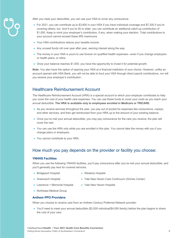

After you meet your deductible, you can use your HSA to cover any coinsurance.

- For 2021, you can contribute up to \$3,600 in your HSA if you have individual coverage and \$7,200 if you're covering others, too. And if you're 55 or older, you can contribute an additional catch-up contribution of \$1,000. Keep in mind your employer's contribution, if any, when making your election. Total contributions to your account cannot exceed these IRS maximums.
- Your HSA contributions reduce your taxable income.
- Any unused funds roll over year after year, earning interest along the way.
- The money in your HSA is yours to use forever on qualified health expenses—even if you change employers or health plans, or retire.
- Once your balance reaches \$1,000, you have the opportunity to invest it for potential growth.

**Note:** You also have the option of opening your HSA at a financial institution of your choice. However, unlike an account opened with HSA Bank, you will not be able to fund your HSA through direct payroll contributions, nor will you receive your employer's contribution.

## Healthcare Reimbursement Account

The Healthcare Reimbursement Account (HRA) is a special account to which your employer contributes to help you cover the cost of your health care expenses. You can use these funds to cover your costs as you reach your annual deductible. **The HRA is available only to employees enrolled in Medicare or TRICARE.**

- As you receive services throughout the year, you pay out of pocket for expenses like coinsurance, copays, and other services, and then get reimbursed from your HRA up to the amount of your existing balance.
- Once you've met your annual deductible, you may pay coinsurance for the care you receive; the plan will cover the rest.
- You can use the HRA only while you are enrolled in this plan. You cannot take the money with you if you change plans or employers.
- You cannot contribute to your HRA.

## How much you pay depends on the provider or facility you choose:

### **YNHHS Facilities**

When you use the following YNHHS facilities, you'll pay coinsurance after you've met your annual deductible, and you'll generally pay less for covered services:

- Bridgeport Hospital
- Westerly Hospital
- Greenwich Hospital
- 
- Yale New Haven Care Continuum (Grimes Center)
- Lawrence + Memorial Hospital
- Yale New Haven Hospital
- Northeast Medical Group

### **Anthem PPO Providers**

When you choose to receive care from an Anthem Century Preferred Network provider:

• You'll need to meet your annual deductible (\$2,000 individual/\$4,000 family) before the plan begins to share the cost of your care.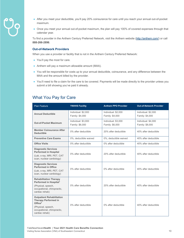

- After you meet your deductible, you'll pay 20% coinsurance for care until you reach your annual out-of-pocket maximum.
- Once you meet your annual out-of-pocket maximum, the plan will pay 100% of covered expenses through that calendar year.

To find a provider in the Anthem Century Preferred Network, visit the Anthem website (http://anthem.com/) or call **888-266-2896**.

#### **Out-of-Network Providers**

When you use a provider or facility that is not in the Anthem Century Preferred Network:

- You'll pay the most for care.
- Anthem will pay a maximum allowable amount (MAA).
- You will be responsible for costs up to your annual deductible, coinsurance, and any difference between the MAA and the amount billed by the provider.
- You'll need to file a claim for the care to be covered. Payments will be made directly to the provider unless you submit a bill showing you've paid it already.

## What You Pay for Care

| <b>Plan Feature</b>                                                                                                                                           | <b>YNHHS Facility</b>                  | <b>Anthem PPO Provider</b>             | <b>Out-of-Network Provider</b>         |
|---------------------------------------------------------------------------------------------------------------------------------------------------------------|----------------------------------------|----------------------------------------|----------------------------------------|
| <b>Annual Deductible</b>                                                                                                                                      | Individual: \$2,000<br>Family: \$4,000 | Individual: \$2,000<br>Family: \$4,000 | Individual: \$2,000<br>Family: \$4,000 |
| <b>Out-of-Pocket Maximum</b>                                                                                                                                  | Individual: \$3,000<br>Family: \$6,000 | Individual: \$3,000<br>Family: \$6,000 | Individual: \$4,000<br>Family: \$8,000 |
| <b>Member Coinsurance After</b><br><b>Deductible</b>                                                                                                          | 0% after deductible                    | 20% after deductible                   | 40% after deductible                   |
| <b>Preventive Care Exams</b>                                                                                                                                  | 0%, deductible waived                  | 0%, deductible waived                  | 40% after deductible                   |
| <b>Office Visits</b>                                                                                                                                          | 0% after deductible                    | 0% after deductible                    | 40% after deductible                   |
| <b>Diagnostic Services</b><br><b>Performed in Hospital</b><br>(Lab, x-ray, MRI, PET, CAT<br>scan, nuclear cardiology)                                         | 0% after deductible                    | 20% after deductible                   | 40% after deductible                   |
| <b>Diagnostic Services</b><br><b>Performed in Office</b><br>(Lab, x-ray, MRI, PET, CAT<br>scan, nuclear cardiology)                                           | 0% after deductible                    | 0% after deductible                    | 40% after deductible                   |
| <b>Rehabilitation Therapy</b><br>Performed in Hospital <sup>1</sup><br>(Physical, speech,<br>occupational, chiropractic,<br>cardiac rehab)                    | 0% after deductible                    | 20% after deductible                   | 40% after deductible                   |
| <b>Outpatient Rehabilitation</b><br><b>Therapy Performed in</b><br>Office <sup>2</sup><br>(Physical, speech,<br>occupational, chiropractic,<br>cardiac rehab) | 0% after deductible                    | 0% after deductible                    | 40% after deductible                   |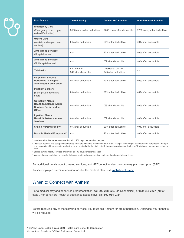| <b>Plan Feature</b>                                                                                        | <b>YNHHS Facility</b>             | <b>Anthem PPO Provider</b>                 | <b>Out-of-Network Provider</b> |
|------------------------------------------------------------------------------------------------------------|-----------------------------------|--------------------------------------------|--------------------------------|
| <b>Emergency Care</b><br>(Emergency room; copay<br>waived if admitted)                                     | \$100 copay after deductible      | \$200 copay after deductible               | \$200 copay after deductible   |
| <b>Urgent Care</b><br>(Walk-in and urgent care<br>centers)                                                 | 0% after deductible               | 20% after deductible                       | 40% after deductible           |
| <b>Ambulance Services</b><br>(Hospital-owned)                                                              | n/a                               | 20% after deductible                       | 40% after deductible           |
| <b>Ambulance Services</b><br>(Not hospital-owned)                                                          | n/a                               | 0% after deductible                        | 40% after deductible           |
| <b>Telehealth</b>                                                                                          | OnDemand<br>\$49 after deductible | LiveHealth Online<br>\$49 after deductible | n/a                            |
| <b>Outpatient Surgery</b><br><b>Performed in Hospital</b><br><b>Ambulatory Care Center</b>                 | 0% after deductible               | 20% after deductible                       | 40% after deductible           |
| <b>Inpatient Surgery</b><br>(Semi-private room and<br>board)                                               | 0% after deductible               | 20% after deductible                       | 40% after deductible           |
| <b>Outpatient Mental</b><br><b>Health/Substance Abuse</b><br><b>Services Performed in</b><br><b>Office</b> | 0% after deductible               | 0% after deductible                        | 40% after deductible           |
| <b>Inpatient Mental</b><br><b>Health/Substance Abuse</b><br><b>Services</b>                                | 0% after deductible               | 0% after deductible                        | 40% after deductible           |
| <b>Skilled Nursing Facility<sup>3</sup></b>                                                                | 0% after deductible               | 20% after deductible                       | 40% after deductible           |
| Durable Medical Equipment <sup>4</sup>                                                                     | n/a                               | 20% after deductible                       | 40% after deductible           |

<sup>1</sup> Inpatient rehabilitative services are limited to 100 days per member per year.

<sup>2</sup> Physical, speech, and occupational therapy visits are limited to a combined total of 60 visits per member per calendar year. For physical therapy and occupational therapy, prior authorization is required after the first visit. Chiropractic services are limited to 12 visits per member per calendar year.

<sup>3</sup> Skilled nursing facility services are limited to 100 days per calendar year.

<sup>4</sup> You must use a participating provider to be covered for durable medical equipment and prosthetic devices.

For additional details about covered services, visit HRConnect to view the summary plan description (SPD).

To see employee premium contributions for the medical plan, visit ynhhsbenefits.com.

## When to Connect with Anthem

For a medical stay and/or service preauthorization, call **800-238-2227** (in Connecticut) or **800-248-2227** (out of state). For behavioral health or substance abuse stays, call **800-934-0331**.

Before receiving any of the following services, you must call Anthem for preauthorization. Otherwise, your benefits will be reduced.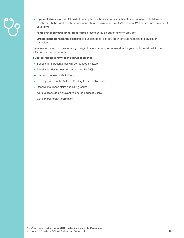- 
- **Inpatient stays** in a hospital, skilled nursing facility, hospice facility, subacute care or acute rehabilitation facility, or a behavioral health or substance abuse treatment center (CALL at least 24 hours before the start of your stay)
- **High-cost diagnostic imaging services** prescribed by an out-of-network provider
- **Organ/tissue transplants,** including evaluation, donor search, organ procurement/tissue harvest, or transplant

For admissions following emergency or urgent care, you, your representative, or your doctor must call Anthem within 48 hours of admission.

#### **If you do not precertify for the services above:**

- Benefits for inpatient stays will be reduced by \$200.
- Benefits for doctor fees will be reduced by 25%.

You can also connect with Anthem to:

- Find a provider in the Anthem Century Preferred Network
- Resolve insurance claim and billing issues
- Ask questions about preventive and/or diagnostic care
- Get general health information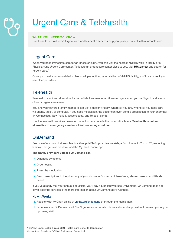## Urgent Care & Telehealth

## **WHAT YOU NEED TO KNOW**

Can't wait to see a doctor? Urgent care and telehealth services help you quickly connect with affordable care.

## Urgent Care

When you need immediate care for an illness or injury, you can visit the nearest YNHHS walk-in facility or a PhysicianOne Urgent Care center. To locate an urgent care center close to you, visit **HRConnect** and search for "urgent care."

Once you meet your annual deductible, you'll pay nothing when visiting a YNHHS facility; you'll pay more if you use other providers.

## **Telehealth**

Telehealth is an ideal alternative for immediate treatment of an illness or injury when you can't get to a doctor's office or urgent care center.

You and your covered family members can visit a doctor virtually, wherever you are, whenever you need care via phone, tablet, or computer. If you need medication, the doctor can even send a prescription to your pharmacy (in Connecticut, New York, Massachusetts, and Rhode Island).

Use the telehealth services below to connect to care outside the usual office hours. **Telehealth is not an alternative to emergency care for a life-threatening condition.** 

## **OnDemand**

See one of our own Northeast Medical Group (NEMG) providers weekdays from 7 a.m. to 7 p.m. ET, excluding holidays. To get started, download the MyChart mobile app.

**The NEMG providers you see OnDemand can:**

- Diagnose symptoms
- Order testing
- Prescribe medication
- Send prescriptions to the pharmacy of your choice in Connecticut, New York, Massachusetts, and Rhode Island.

If you've already met your annual deductible, you'll pay a \$49 copay to use OnDemand. OnDemand does not cover pediatric services. Find more information about OnDemand at HRConnect.

### **How It Works**

- 1. Register with MyChart online at ynhhs.org/ondemand or through the mobile app.
- 2. Schedule your OnDemand visit. You'll get reminder emails, phone calls, and app pushes to remind you of your upcoming visit.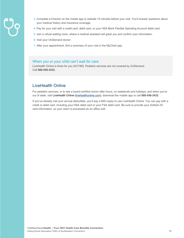

- 3. Complete e-Checkin on the mobile app or website 15 minutes before your visit. You'll answer questions about your medical history and insurance coverage.
- 4. Pay for your visit with a credit card, debit card, or your HSA Bank Flexible Spending Account debit card.
- 5. Join a virtual waiting room, where a medical assistant will greet you and confirm your information.
- 6. Visit your OnDemand doctor.
- 7. After your appointment, find a summary of your visit in the MyChart app.

## When you or your child can't wait for care

LiveHealth Online is there for you 24/7/365. Pediatric services are not covered by OnDemand. Call **888-548-3432**.

## LiveHealth Online

For pediatric services, or to see a board-certified doctor after hours, on weekends and holidays, and when you're out of state, visit LiveHealth Online (livehealthonline.com), download the mobile app or call **888-548-3432**.

If you've already met your annual deductible, you'll pay a \$49 copay to use LiveHealth Online. You can pay with a credit or debit card, including your HSA debit card or your FSA debit card. Be sure to provide your Anthem ID card information, so your claim is processed as an office visit.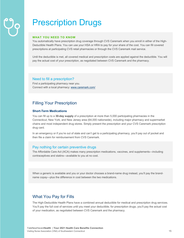## Prescription Drugs

#### **WHAT YOU NEED TO KNOW**

You automatically have prescription drug coverage through CVS Caremark when you enroll in either of the High-Deductible Health Plans. You can use your HSA or HRA to pay for your share of the cost. You can fill covered prescriptions at participating CVS retail pharmacies or through the CVS Caremark mail service.

Until the deductible is met, all covered medical and prescription costs are applied against the deductible. You will pay the actual cost of your prescription, as negotiated between CVS Caremark and the pharmacy.

## Need to fill a prescription?

Find a participating pharmacy near you. Connect with a local pharmacy: www.caremark.com/

## Filling Your Prescription

## **Short-Term Medications**

You can fill up to a **30-day supply** of a prescription at more than 5,000 participating pharmacies in the Connecticut, New York, and New Jersey area (64,000 nationwide), including major pharmacy and supermarket chains and most independent drug stores. Simply present the prescription and your CVS Caremark prescription drug card.

In an emergency or if you're out of state and can't get to a participating pharmacy, you'll pay out of pocket and then file a claim for reimbursement from CVS Caremark.

## Pay nothing for certain preventive drugs

The Affordable Care Act (ACA) makes many prescription medications, vaccines, and supplements—including contraceptives and statins—available to you at no cost.

When a generic is available and you or your doctor chooses a brand-name drug instead, you'll pay the brandname copay—plus the difference in cost between the two medications.

## What You Pay for Fills

The High-Deductible Health Plans have a combined annual deductible for medical and prescription drug services. You'll pay the full cost of services until you meet your deductible; for prescription drugs, you'll pay the actual cost of your medication, as negotiated between CVS Caremark and the pharmacy.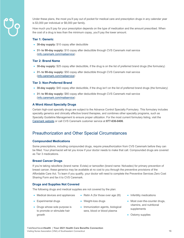

Under these plans, the most you'll pay out of pocket for medical care and prescription drugs in any calendar year is \$3,000 per individual or \$6,000 per family.

How much you'll pay for your prescription depends on the type of medication and the amount prescribed. When the cost of a drug is less than the minimum copay, you'll pay the lower amount.

#### **Tier 1: Generic**

- **30-day supply:** \$10 copay after deductible
- **31- to 90-day supply:** \$10 copay after deductible through CVS Caremark mail service (info.caremark.com/mailservice)

#### **Tier 2: Brand Name**

- **30-day supply:** \$25 copay after deductible, if the drug is on the list of preferred brand drugs (the formulary)
- **31- to 90-day supply:** \$50 copay after deductible through CVS Caremark mail service (info.caremark.com/mailservice)

#### **Tier 3: Non-Preferred Brand**

- **30-day supply:** \$40 copay after deductible, if the drug isn't on the list of preferred brand drugs (the formulary)
- **31- to 90-day supply:** \$80 copay after deductible through CVS Caremark mail service (info.caremark.com/mailservice)

#### **A Word About Specialty Drugs**

Certain high-cost specialty drugs are subject to the Advance Control Specialty Formulary. This formulary includes specialty generics and clinically effective brand therapies, and combines other specialty programs, such as Specialty Guideline Management to ensure proper utilization. For the most current formulary listing, visit the Caremark website or call CVS Caremark customer service at **877-636-0406**.

## Preauthorization and Other Special Circumstances

#### **Compounded Medications**

Some prescriptions, including compounded drugs, require preauthorization from CVS Caremark before they can be filled. Your pharmacist will let you know if your doctor needs to make that call. Compounded drugs are covered as Tier 3 medications.

#### **Breast Cancer Drugs**

• Experimental drugs

If you're taking raloxifene (brand name: Evista) or tamoxifen (brand name: Nolvadex) for primary prevention of breast cancer, these generics may be available at no cost to you through the preventive provisions of the Affordable Care Act. To learn if you qualify, your doctor will need to complete the Preventive Services Zero Cost Sharing Form and fax it to CVS Caremark.

#### **Drugs and Supplies Not Covered**

The following drugs and medical supplies are not covered by the plan:

- Medical devices and appliances
- Weight-loss drugs
- Drugs whose sole purpose is to promote or stimulate hair growth
- Immunization agents, biological sera, blood or blood plasma

• Retin A (for those over age 28)

- Infertility medications
- Most over-the-counter drugs, vitamins, and nutritional supplements
- Ostomy supplies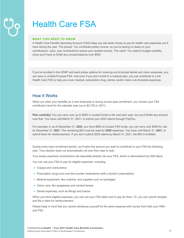## Health Care FSA

#### **WHAT YOU NEED TO KNOW**

A Health Care Flexible Spending Account (FSA) helps you set aside money to pay for health care expenses you'll have during the year. The pluses: You contribute pretax income, so you're paying no taxes on your contributions—plus, your contributions reduce your taxable income. The catch: You need to budget carefully, since you'll have to forfeit any unused balance over \$550.

If you're enrolled in the HDHP and want pretax options for covering out-of-pocket dental and vision expenses, you can open a Limited-Purpose FSA. And even if you don't enroll in a medical plan, you can contribute to a full Health Care FSA to help you cover medical, prescription drug, dental, and/or vision out-of-pocket-expenses.

## How It Works

When you elect your benefits as a new employee or during annual open enrollment, you choose your FSA contribution level for the calendar year (up to \$2,750 in 2021).

**Plan carefully!** You can carry over up to \$550 in unused funds to the next plan year, but you'll forfeit any amount over that. You have until March 31, 2021, to submit your 2020 claims through PayFlex.

For example, if, as of December 31, **2020**, you have \$600 of unused FSA funds, you can carry over \$550 for use by December 31, **2021**. The remaining \$50 must be used for **2020** expenses. You have until March 31, **2021**, to submit them for reimbursement. If you don't submit 2020 claims by March 31, 2021, the \$50 is forfeited.

During every open enrollment period, you'll elect the amount you want to contribute to your FSA the following year. Your election does not automatically roll over from year to year.

Your pretax paycheck contributions are deposited directly into your FSA, which is administered by HSA Bank.

You can use your FSA to pay for eligible expenses, including:

- Copays and coinsurance
- Prescription drugs and over-the-counter medications (with a doctor's prescription)
- Medical equipment, like crutches, and supplies such as bandages
- Vision care, like eyeglasses and contact lenses
- Dental expenses, such as fillings and braces

When you have eligible expenses, you can use your FSA debit card to pay for them. Or, you can submit receipts and file a claim for reimbursement.

Please keep in mind that you cannot reimburse yourself for the same expense with money from both your HRA and FSA.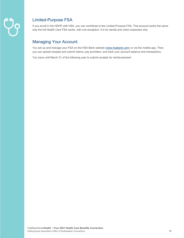

## Limited-Purpose FSA

If you enroll in the HDHP with HSA, you can contribute to the Limited-Purpose FSA. This account works the same way the full Health Care FSA works, with one exception: It is for dental and vision expenses only.

## Managing Your Account

You set up and manage your FSA on the HSA Bank website (www.hsabank.com) or via the mobile app. Then, you can upload receipts and submit claims, pay providers, and track your account balance and transactions.

You have until March 31 of the following year to submit receipts for reimbursement.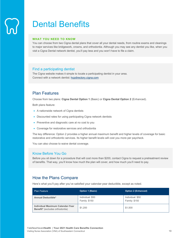## Dental Benefits

#### **WHAT YOU NEED TO KNOW**

You can choose from two Cigna dental plans that cover all your dental needs, from routine exams and cleanings to major services like bridgework, crowns, and orthodontia. Although you may see any dentist you like, when you visit a Cigna Dental network dentist, you'll pay less and you won't have to file a claim.

## Find a participating dentist

The Cigna website makes it simple to locate a participating dentist in your area. Connect with a network dentist: hcpdirectory.cigna.com

## Plan Features

Choose from two plans: **Cigna Dental Option 1** (Basic) or **Cigna Dental Option 2** (Enhanced).

Both plans feature:

- A nationwide network of Cigna dentists
- Discounted rates for using participating Cigna network dentists
- Preventive and diagnostic care at no cost to you
- Coverage for restorative services and orthodontia

The key difference: Option 2 provides a higher annual maximum benefit and higher levels of coverage for basic restorative and orthodontic services. Its higher benefit levels will cost you more per paycheck.

You can also choose to waive dental coverage.

## Know Before You Go

Before you sit down for a procedure that will cost more than \$200, contact Cigna to request a pretreatment review of benefits. That way, you'll know how much the plan will cover, and how much you'll need to pay.

## How the Plans Compare

Here's what you'll pay after you've satisfied your calendar-year deductible, except as noted.

| <b>Plan Feature</b>                                                        | <b>Option 1 (Basic)</b>                  | <b>Option 2 (Enhanced)</b>        |
|----------------------------------------------------------------------------|------------------------------------------|-----------------------------------|
| <b>Annual Deductible*</b>                                                  | Individual: \$50<br><b>Family: \$150</b> | Individual: \$50<br>Family: \$150 |
| Individual Maximum Calendar-Year<br><b>Benefit*</b> (excludes orthodontia) | \$1,200                                  | \$1.500                           |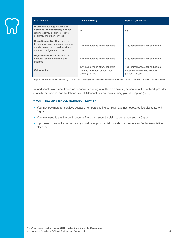| <b>Plan Feature</b>                                                                                                                                  | <b>Option 1 (Basic)</b>                                                                | <b>Option 2 (Enhanced)</b>                                                             |
|------------------------------------------------------------------------------------------------------------------------------------------------------|----------------------------------------------------------------------------------------|----------------------------------------------------------------------------------------|
| <b>Preventive &amp; Diagnostic Care</b><br>Services (no deductible) includes<br>routine exams, cleanings, x-rays,<br>sealants, and other services    | \$0                                                                                    | \$0                                                                                    |
| Basic Restorative Care such as<br>fillings, oral surgery, extractions, root<br>canals, periodontics, and repairs to<br>dentures, bridges, and crowns | 20% coinsurance after deductible                                                       | 10% coinsurance after deductible                                                       |
| Major Restorative Care such as<br>dentures, bridges, crowns, and<br>implants                                                                         | 40% coinsurance after deductible                                                       | 40% coinsurance after deductible                                                       |
| Orthodontia                                                                                                                                          | 40% coinsurance after deductible<br>Lifetime maximum benefit (per<br>person):* \$1,000 | 40% coinsurance after deductible<br>Lifetime maximum benefit (per<br>person):* \$1,500 |

\*All plan deductibles and maximums (dollar and occurrence) cross-accumulate between in-network and out-of-network unless otherwise noted.

For additional details about covered services, including what the plan pays if you use an out-of-network provider or facility, exclusions, and limitations, visit HRConnect to view the summary plan description (SPD).

## **If You Use an Out-of-Network Dentist**

- You may pay more for services because non-participating dentists have not negotiated fee discounts with Cigna.
- You may need to pay the dentist yourself and then submit a claim to be reimbursed by Cigna.
- If you need to submit a dental claim yourself, ask your dentist for a standard American Dental Association claim form.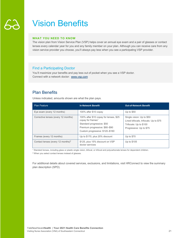## Vision Benefits

### **WHAT YOU NEED TO KNOW**

The vision plan from Vision Service Plan (VSP) helps cover an annual eye exam and a pair of glasses or contact lenses every calendar year for you and any family member on your plan. Although you can receive care from any vision service provider you choose, you'll always pay less when you see a participating VSP provider.

## Find a Participating Doctor

You'll maximize your benefits and pay less out of pocket when you see a VSP doctor. Connect with a network doctor: www.vsp.com

## Plan Benefits

Unless indicated, amounts shown are what the plan pays.

| <b>Plan Feature</b>                           | <b>In-Network Benefit</b>                                                                                                                                                  | <b>Out-of-Network Benefit</b>                                                                                           |
|-----------------------------------------------|----------------------------------------------------------------------------------------------------------------------------------------------------------------------------|-------------------------------------------------------------------------------------------------------------------------|
| Eye exam (every 12 months)                    | 100% after \$10 copay                                                                                                                                                      | Up to \$50                                                                                                              |
| Corrective lenses (every 12 months)           | 100% after \$10 copay for lenses, \$25<br>copay for frames <sup>1</sup><br>Standard progressive: \$50<br>Premium progressive: \$80-\$90<br>Custom progressive: \$120-\$160 | Single vision: Up to \$50<br>Lined bifocals, trifocals: Up to \$75<br>Trifocals: Up to \$100<br>Progressive: Up to \$75 |
| Frames (every 12 months)                      | Up to \$170, plus 20% discount                                                                                                                                             | Up to $$70$                                                                                                             |
| Contact lenses (every 12 months) <sup>2</sup> | \$125, plus 15% discount on VSP<br>doctor services                                                                                                                         | Up to \$105                                                                                                             |

<sup>1</sup> Standard lenses, including glass or plastic single vision, bifocal, or trifocal and polycarbonate lenses for dependent children.

<sup>2</sup> When you select contact lenses instead of glasses.

For additional details about covered services, exclusions, and limitations, visit HRConnect to view the summary plan description (SPD).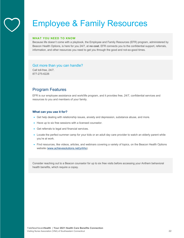## Employee & Family Resources

#### **WHAT YOU NEED TO KNOW**

Because life doesn't come with a playbook, the Employee and Family Resources (EFR) program, administered by Beacon Health Options, is here for you 24/7, at **no cost**. EFR connects you to the confidential support, referrals, information, and other resources you need to get you through the good and not-so-good times.

## Got more than you can handle?

Call toll-free, 24/7. 877-275-6226

## Program Features

EFR is our employee assistance and work/life program, and it provides free, 24/7, confidential services and resources to you and members of your family.

#### **What can you use it for?**

- Get help dealing with relationship issues, anxiety and depression, substance abuse, and more.
- Have up to six free sessions with a licensed counselor.
- Get referrals to legal and financial services.
- Locate the perfect summer camp for your kids or an adult day care provider to watch an elderly parent while you're at work.
- Find resources, like videos, articles, and webinars covering a variety of topics, on the Beacon Health Options website (www.achievesolutions.net/ynhhs).

Consider reaching out to a Beacon counselor for up to six free visits before accessing your Anthem behavioral health benefits, which require a copay.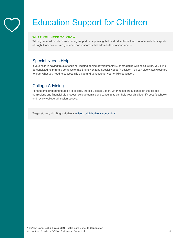## Education Support for Children

## **WHAT YOU NEED TO KNOW**

When your child needs extra learning support or help taking that next educational leap, connect with the experts at Bright Horizons for free guidance and resources that address their unique needs.

## Special Needs Help

If your child is having trouble focusing, lagging behind developmentally, or struggling with social skills, you'll find personalized help from a compassionate Bright Horizons Special Needs™ advisor. You can also watch webinars to learn what you need to successfully guide and advocate for your child's education.

## College Advising

For students preparing to apply to college, there's College Coach. Offering expert guidance on the college admissions and financial aid process, college admissions consultants can help your child identify best-fit schools and review college admission essays.

To get started, visit Bright Horizons (clients.brighthorizons.com/ynhhs).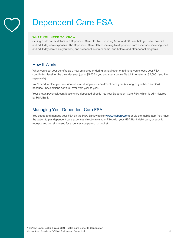## Dependent Care FSA

#### **WHAT YOU NEED TO KNOW**

Setting aside pretax dollars in a Dependent Care Flexible Spending Account (FSA) can help you save on child and adult day care expenses. The Dependent Care FSA covers eligible dependent care expenses, including child and adult day care while you work, and preschool, summer camp, and before- and after-school programs.

## How It Works

When you elect your benefits as a new employee or during annual open enrollment, you choose your FSA contribution level for the calendar year (up to \$5,000 if you and your spouse file joint tax returns; \$2,500 if you file separately).

You'll need to elect your contribution level during open enrollment each year (as long as you have an FSA), because FSA elections don't roll over from year to year.

Your pretax paycheck contributions are deposited directly into your Dependent Care FSA, which is administered by HSA Bank.

## Managing Your Dependent Care FSA

You set up and manage your FSA on the HSA Bank website (www.hsabank.com) or via the mobile app. You have the option to pay dependent care expenses directly from your FSA, with your HSA Bank debit card, or submit receipts and be reimbursed for expenses you pay out of pocket.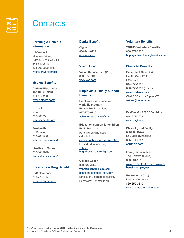

## **Contacts**

## **Enrolling & Benefits Information**

**HRConnect** Monday–Friday, 7:30 a.m. to 5 p.m. ET 844-543-2147 203-200-3838 (fax) ynhhs.org/hrconnect

## **Medical Benefits**

**Anthem Blue Cross and Blue Shield** 844-412-2983 www.anthem.com/

**COBRA** bswift 866-365-2413 ynhhsbenefits.com

**Telehealth OnDemand** 833-483-5363 ynhhs.org/ondemand

**LiveHealth Online** 888-548-3432 livehealthonline.com/

### **Prescription Drug Benefit**

**CVS Caremark** 800-776-1355 www.caremark.com

### **Dental Benefit**

**Cigna** 800-244-6224 my.cigna.com

## **Vision Benefit**

**Vision Service Plan (VSP)** 800-877-7195 www.vsp.com

## **Employee & Family Support Benefits**

**Employee assistance and work/life program** Beacon Health Options 877-275-6226 achievesolutions.net/ynhhs

**Education support for children** Bright Horizons For children who need extra help: clients.brighthorizons.com/ynhhs For individual advising: ynhhsbrighthorizons.torchlight.care

**College Coach**  888-527-3550 ynhh@getintocollege.com passport.getintocollege.com Employer Username: YNHHS Password: Benefits4You

#### **Voluntary Benefits**

**YNHHS Voluntary Benefits** 866-874-2837 http://ynhhsvoluntarybenefits.com/

## **Financial Benefits**

**Dependent Care FSA Health Care FSA** HSA Bank 844-650-8936 866-357-6232 (Spanish) www.hsabank.com Chat 8:30 a.m. – 5 p.m. CT askus@hsabank.com

**PayFlex** (for 2020 FSA claims) 844-729-3539 www.payflex.com

**Disability and family/ medical leave** Equitable (Disability) 866-274-9887 equitable.com

**Family/medical leave** The Hartford (FMLA) 888-301-5615 www.thehartford.com/employeebenefits/employees

**Retirement 403(b)** Mutual of America 860-659-3610 www.mutualofamerica.com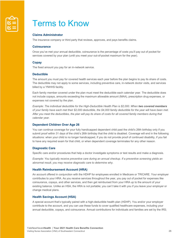

## Terms to Know

## **Claims Administrator**

The insurance company or third party that reviews, approves, and pays benefits claims.

#### **Coinsurance**

Once you've met your annual deductible, coinsurance is the percentage of costs you'll pay out of pocket for services covered by your plan (until you meet your out-of-pocket maximum for the year).

#### **Copay**

The fixed amount you pay for an in-network service.

#### **Deductible**

The amount you must pay for covered health services each year before the plan begins to pay its share of costs. The deductible may not apply to some services, including preventive care, in-network doctor visits, and services billed by a YNHHS facility.

Each family member covered under the plan must meet the deductible each calendar year. The deductible does not include copays, amounts exceeding the maximum allowable amount (MAA), prescription drug expenses, or expenses not covered by the plan.

*Example: The individual deductible for the High-Deductible Health Plan is \$2,000. When two covered members of your family have each met their \$2,000 deductible, the \$4,000 family deductible for the year will have been met.*  After you meet the deductibles, the plan will pay its share of costs for all covered family members during that *calendar year.* 

#### **Dependent Children Over Age 26**

You can continue coverage for your fully handicapped dependent child past the child's 26th birthday only if you submit proof within 31 days of the child's 26th birthday that the child is disabled. Coverage will end in the following situations: when your child is no longer handicapped, if you do not provide proof of continued disability, if you fail to have any required exam for that child, or when dependent coverage terminates for any other reason.

#### **Diagnostic Care**

Specific care and/or procedures that help a doctor investigate symptoms or test results and make a diagnosis.

*Example: You typically receive preventive care during an annual checkup. If a preventive screening yields an abnormal result, you may receive diagnostic care to determine why.* 

#### **Health Reimbursement Account (HRA)**

An account offered in conjunction with the HDHP for employees enrolled in Medicare or TRICARE. Your employer contributes to your HRA. As you receive services throughout the year, you pay out of pocket for expenses like coinsurance, copays, and other services, and then get reimbursed from your HRA up to the amount of your existing balance. Unlike an HSA, the HRA is not portable; you can't take it with you if you leave your employer or change medical plans.

#### **Health Savings Account (HSA)**

A special account that's typically paired with a high-deductible health plan (HDHP). You and/or your employer contribute to the account, and you can use these funds to cover qualified healthcare expenses, including your annual deductible, copays, and coinsurance. Annual contributions for individuals and families are set by the IRS;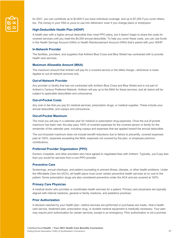

for 2021, you can contribute up to \$3,600 if you have individual coverage, and up to \$7,200 if you cover others, too. The money in your HSA is yours to use into retirement, even if you change plans or employers.

## **High-Deductible Health Plan (HDHP)**

A health plan with a higher annual deductible than most PPO plans, but it doesn't begin to share the costs for covered services until you meet the \$4,000 annual deductible. To help you cover these costs, you can use funds in the Health Savings Account (HSA) or Health Reimbursement Account (HRA) that's paired with your HDHP.

### **In-Network Provider**

The facilities, providers, and suppliers that Anthem Blue Cross and Blue Shield has contracted with to provide health care services.

#### **Maximum Allowable Amount (MAA)**

The maximum amount that Anthem will pay for a covered service or the billed charge—whichever is lower. Applies to out-of-network services only.

#### **Out-of-Network Provider**

Any provider or facility that has not contracted with Anthem Blue Cross and Blue Shield and is not part of Anthem's Century Preferred Network. Anthem will pay up to the MAA for these services, and all claims will be subject to applicable deductibles and coinsurance.

#### **Out-of-Pocket Costs**

Any cost or fee that you pay for medical services, prescription drugs, or medical supplies. These include your annual deductible, and copays and coinsurance.

### **Out-of-Pocket Maximum**

The most you will pay in a calendar year for medical or prescription drug expenses. Once the out-of-pocket maximum has been met, the play pays 100% of covered expenses for the covered person or family for the remainder of the calendar year, including copays and expenses that are applied toward the annual deductible.

The out-of-pocket maximum does not include benefit reductions due to failure to precertify, covered expenses paid at 100%, expenses exceeding the MAA, expenses not covered by the plan, or employee premium contributions.

### **Preferred Provider Organization (PPO)**

Doctors, hospitals, and other providers who have agreed to negotiated fees with Anthem. Typically, you'll pay less than you would for services from a non-PPO provider.

#### **Preventive Care**

Screenings, annual checkups, and patient counseling to prevent illness, disease, or other health problems. Under the Affordable Care Act (ACA), all health plans must cover certain preventive health services at no cost to the patient. Some prescription drugs are also considered preventive under the ACA and are covered at 100%.

### **Primary Care Physician**

A medical doctor who provides or coordinates health services for a patient. Primary care physicians are typically aligned with internal medicine, general or family medicine, and pediatrics practices.

#### **Prior Authorization**

A decision reached by your health plan—before services are performed or purchases are made—that a health care service, treatment plan, prescription drug, or durable medical equipment is medically necessary. Your plan may require prior authorization for certain services, except in an emergency. Prior authorization is not a promise